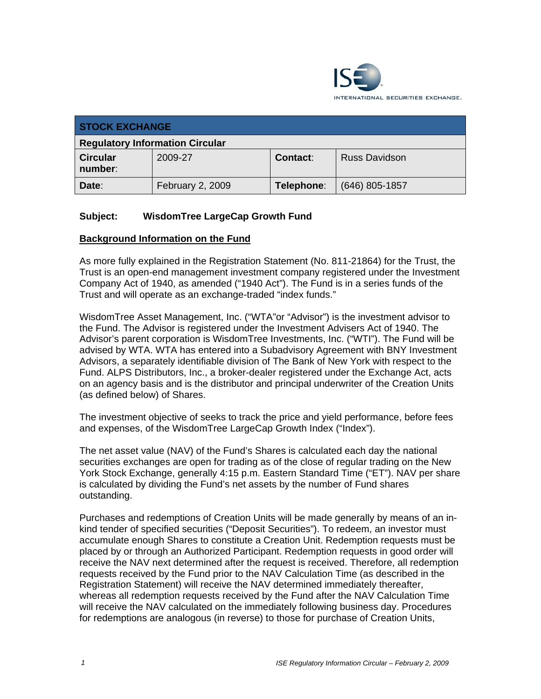

| <b>STOCK EXCHANGE</b>                  |                  |                 |                      |
|----------------------------------------|------------------|-----------------|----------------------|
| <b>Regulatory Information Circular</b> |                  |                 |                      |
| <b>Circular</b><br>number:             | 2009-27          | <b>Contact:</b> | <b>Russ Davidson</b> |
| Date:                                  | February 2, 2009 | Telephone:      | $(646)$ 805-1857     |

## **Subject: WisdomTree LargeCap Growth Fund**

#### **Background Information on the Fund**

As more fully explained in the Registration Statement (No. 811-21864) for the Trust, the Trust is an open-end management investment company registered under the Investment Company Act of 1940, as amended ("1940 Act"). The Fund is in a series funds of the Trust and will operate as an exchange-traded "index funds."

WisdomTree Asset Management, Inc. ("WTA"or "Advisor") is the investment advisor to the Fund. The Advisor is registered under the Investment Advisers Act of 1940. The Advisor's parent corporation is WisdomTree Investments, Inc. ("WTI"). The Fund will be advised by WTA. WTA has entered into a Subadvisory Agreement with BNY Investment Advisors, a separately identifiable division of The Bank of New York with respect to the Fund. ALPS Distributors, Inc., a broker-dealer registered under the Exchange Act, acts on an agency basis and is the distributor and principal underwriter of the Creation Units (as defined below) of Shares.

The investment objective of seeks to track the price and yield performance, before fees and expenses, of the WisdomTree LargeCap Growth Index ("Index").

The net asset value (NAV) of the Fund's Shares is calculated each day the national securities exchanges are open for trading as of the close of regular trading on the New York Stock Exchange, generally 4:15 p.m. Eastern Standard Time ("ET"). NAV per share is calculated by dividing the Fund's net assets by the number of Fund shares outstanding.

Purchases and redemptions of Creation Units will be made generally by means of an inkind tender of specified securities ("Deposit Securities"). To redeem, an investor must accumulate enough Shares to constitute a Creation Unit. Redemption requests must be placed by or through an Authorized Participant. Redemption requests in good order will receive the NAV next determined after the request is received. Therefore, all redemption requests received by the Fund prior to the NAV Calculation Time (as described in the Registration Statement) will receive the NAV determined immediately thereafter, whereas all redemption requests received by the Fund after the NAV Calculation Time will receive the NAV calculated on the immediately following business day. Procedures for redemptions are analogous (in reverse) to those for purchase of Creation Units,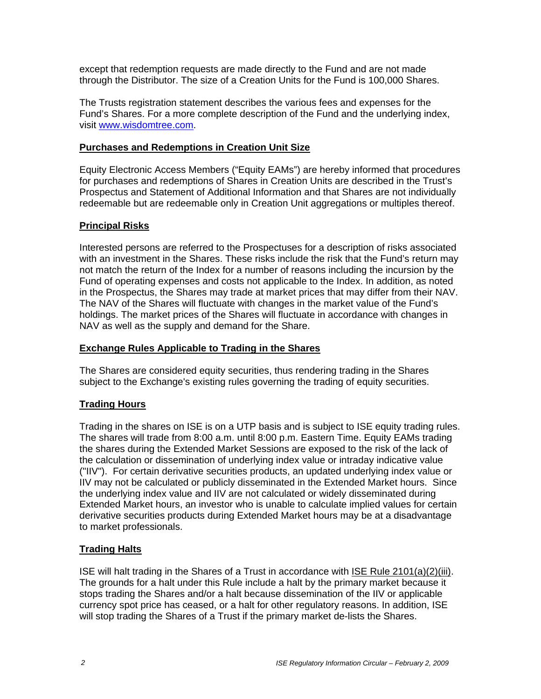except that redemption requests are made directly to the Fund and are not made through the Distributor. The size of a Creation Units for the Fund is 100,000 Shares.

The Trusts registration statement describes the various fees and expenses for the Fund's Shares. For a more complete description of the Fund and the underlying index, visit www.wisdomtree.com.

## **Purchases and Redemptions in Creation Unit Size**

Equity Electronic Access Members ("Equity EAMs") are hereby informed that procedures for purchases and redemptions of Shares in Creation Units are described in the Trust's Prospectus and Statement of Additional Information and that Shares are not individually redeemable but are redeemable only in Creation Unit aggregations or multiples thereof.

#### **Principal Risks**

Interested persons are referred to the Prospectuses for a description of risks associated with an investment in the Shares. These risks include the risk that the Fund's return may not match the return of the Index for a number of reasons including the incursion by the Fund of operating expenses and costs not applicable to the Index. In addition, as noted in the Prospectus, the Shares may trade at market prices that may differ from their NAV. The NAV of the Shares will fluctuate with changes in the market value of the Fund's holdings. The market prices of the Shares will fluctuate in accordance with changes in NAV as well as the supply and demand for the Share.

## **Exchange Rules Applicable to Trading in the Shares**

The Shares are considered equity securities, thus rendering trading in the Shares subject to the Exchange's existing rules governing the trading of equity securities.

## **Trading Hours**

Trading in the shares on ISE is on a UTP basis and is subject to ISE equity trading rules. The shares will trade from 8:00 a.m. until 8:00 p.m. Eastern Time. Equity EAMs trading the shares during the Extended Market Sessions are exposed to the risk of the lack of the calculation or dissemination of underlying index value or intraday indicative value ("IIV"). For certain derivative securities products, an updated underlying index value or IIV may not be calculated or publicly disseminated in the Extended Market hours. Since the underlying index value and IIV are not calculated or widely disseminated during Extended Market hours, an investor who is unable to calculate implied values for certain derivative securities products during Extended Market hours may be at a disadvantage to market professionals.

## **Trading Halts**

ISE will halt trading in the Shares of a Trust in accordance with ISE Rule 2101(a)(2)(iii). The grounds for a halt under this Rule include a halt by the primary market because it stops trading the Shares and/or a halt because dissemination of the IIV or applicable currency spot price has ceased, or a halt for other regulatory reasons. In addition, ISE will stop trading the Shares of a Trust if the primary market de-lists the Shares.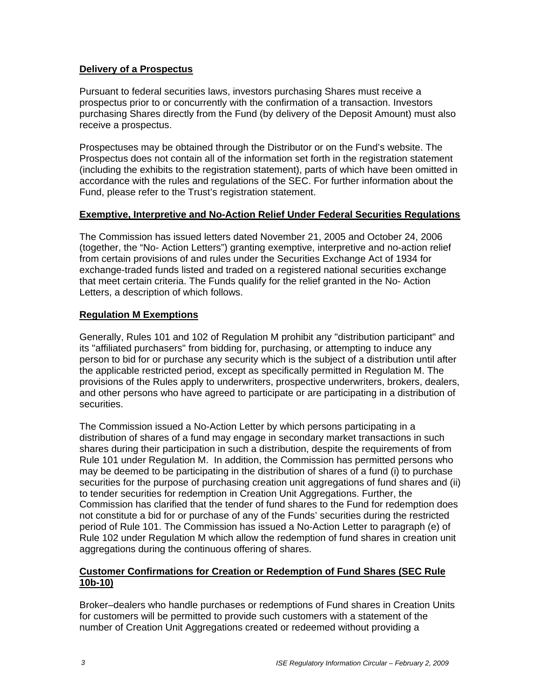## **Delivery of a Prospectus**

Pursuant to federal securities laws, investors purchasing Shares must receive a prospectus prior to or concurrently with the confirmation of a transaction. Investors purchasing Shares directly from the Fund (by delivery of the Deposit Amount) must also receive a prospectus.

Prospectuses may be obtained through the Distributor or on the Fund's website. The Prospectus does not contain all of the information set forth in the registration statement (including the exhibits to the registration statement), parts of which have been omitted in accordance with the rules and regulations of the SEC. For further information about the Fund, please refer to the Trust's registration statement.

#### **Exemptive, Interpretive and No-Action Relief Under Federal Securities Regulations**

The Commission has issued letters dated November 21, 2005 and October 24, 2006 (together, the "No- Action Letters") granting exemptive, interpretive and no-action relief from certain provisions of and rules under the Securities Exchange Act of 1934 for exchange-traded funds listed and traded on a registered national securities exchange that meet certain criteria. The Funds qualify for the relief granted in the No- Action Letters, a description of which follows.

## **Regulation M Exemptions**

Generally, Rules 101 and 102 of Regulation M prohibit any "distribution participant" and its "affiliated purchasers" from bidding for, purchasing, or attempting to induce any person to bid for or purchase any security which is the subject of a distribution until after the applicable restricted period, except as specifically permitted in Regulation M. The provisions of the Rules apply to underwriters, prospective underwriters, brokers, dealers, and other persons who have agreed to participate or are participating in a distribution of securities.

The Commission issued a No-Action Letter by which persons participating in a distribution of shares of a fund may engage in secondary market transactions in such shares during their participation in such a distribution, despite the requirements of from Rule 101 under Regulation M. In addition, the Commission has permitted persons who may be deemed to be participating in the distribution of shares of a fund (i) to purchase securities for the purpose of purchasing creation unit aggregations of fund shares and (ii) to tender securities for redemption in Creation Unit Aggregations. Further, the Commission has clarified that the tender of fund shares to the Fund for redemption does not constitute a bid for or purchase of any of the Funds' securities during the restricted period of Rule 101. The Commission has issued a No-Action Letter to paragraph (e) of Rule 102 under Regulation M which allow the redemption of fund shares in creation unit aggregations during the continuous offering of shares.

## **Customer Confirmations for Creation or Redemption of Fund Shares (SEC Rule 10b-10)**

Broker–dealers who handle purchases or redemptions of Fund shares in Creation Units for customers will be permitted to provide such customers with a statement of the number of Creation Unit Aggregations created or redeemed without providing a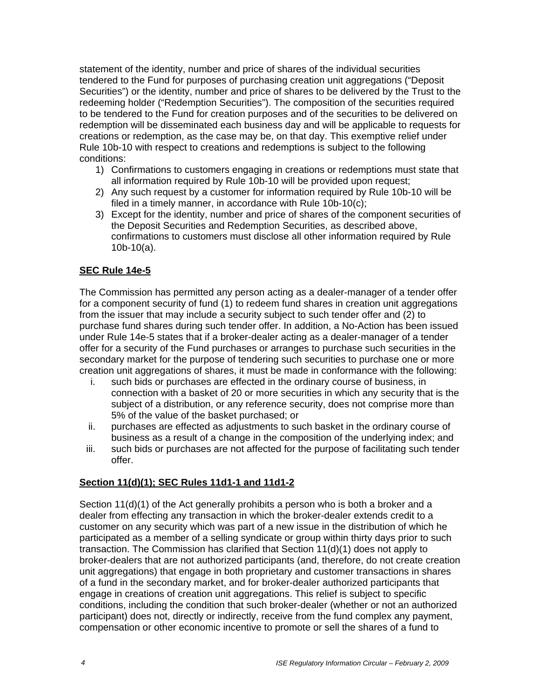statement of the identity, number and price of shares of the individual securities tendered to the Fund for purposes of purchasing creation unit aggregations ("Deposit Securities") or the identity, number and price of shares to be delivered by the Trust to the redeeming holder ("Redemption Securities"). The composition of the securities required to be tendered to the Fund for creation purposes and of the securities to be delivered on redemption will be disseminated each business day and will be applicable to requests for creations or redemption, as the case may be, on that day. This exemptive relief under Rule 10b-10 with respect to creations and redemptions is subject to the following conditions:

- 1) Confirmations to customers engaging in creations or redemptions must state that all information required by Rule 10b-10 will be provided upon request;
- 2) Any such request by a customer for information required by Rule 10b-10 will be filed in a timely manner, in accordance with Rule 10b-10(c);
- 3) Except for the identity, number and price of shares of the component securities of the Deposit Securities and Redemption Securities, as described above, confirmations to customers must disclose all other information required by Rule 10b-10(a).

## **SEC Rule 14e-5**

The Commission has permitted any person acting as a dealer-manager of a tender offer for a component security of fund (1) to redeem fund shares in creation unit aggregations from the issuer that may include a security subject to such tender offer and (2) to purchase fund shares during such tender offer. In addition, a No-Action has been issued under Rule 14e-5 states that if a broker-dealer acting as a dealer-manager of a tender offer for a security of the Fund purchases or arranges to purchase such securities in the secondary market for the purpose of tendering such securities to purchase one or more creation unit aggregations of shares, it must be made in conformance with the following:

- i. such bids or purchases are effected in the ordinary course of business, in connection with a basket of 20 or more securities in which any security that is the subject of a distribution, or any reference security, does not comprise more than 5% of the value of the basket purchased; or
- ii. purchases are effected as adjustments to such basket in the ordinary course of business as a result of a change in the composition of the underlying index; and
- iii. such bids or purchases are not affected for the purpose of facilitating such tender offer.

## **Section 11(d)(1); SEC Rules 11d1-1 and 11d1-2**

Section 11(d)(1) of the Act generally prohibits a person who is both a broker and a dealer from effecting any transaction in which the broker-dealer extends credit to a customer on any security which was part of a new issue in the distribution of which he participated as a member of a selling syndicate or group within thirty days prior to such transaction. The Commission has clarified that Section 11(d)(1) does not apply to broker-dealers that are not authorized participants (and, therefore, do not create creation unit aggregations) that engage in both proprietary and customer transactions in shares of a fund in the secondary market, and for broker-dealer authorized participants that engage in creations of creation unit aggregations. This relief is subject to specific conditions, including the condition that such broker-dealer (whether or not an authorized participant) does not, directly or indirectly, receive from the fund complex any payment, compensation or other economic incentive to promote or sell the shares of a fund to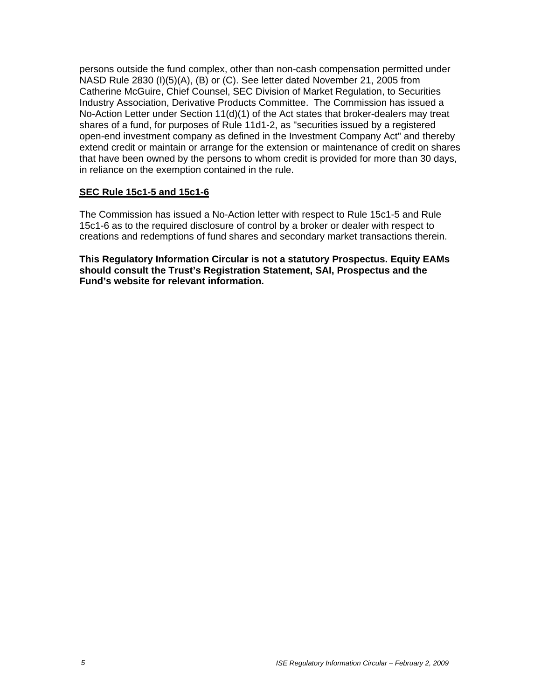persons outside the fund complex, other than non-cash compensation permitted under NASD Rule 2830 (I)(5)(A), (B) or (C). See letter dated November 21, 2005 from Catherine McGuire, Chief Counsel, SEC Division of Market Regulation, to Securities Industry Association, Derivative Products Committee. The Commission has issued a No-Action Letter under Section 11(d)(1) of the Act states that broker-dealers may treat shares of a fund, for purposes of Rule 11d1-2, as "securities issued by a registered open-end investment company as defined in the Investment Company Act" and thereby extend credit or maintain or arrange for the extension or maintenance of credit on shares that have been owned by the persons to whom credit is provided for more than 30 days, in reliance on the exemption contained in the rule.

## **SEC Rule 15c1-5 and 15c1-6**

The Commission has issued a No-Action letter with respect to Rule 15c1-5 and Rule 15c1-6 as to the required disclosure of control by a broker or dealer with respect to creations and redemptions of fund shares and secondary market transactions therein.

**This Regulatory Information Circular is not a statutory Prospectus. Equity EAMs should consult the Trust's Registration Statement, SAI, Prospectus and the Fund's website for relevant information.**